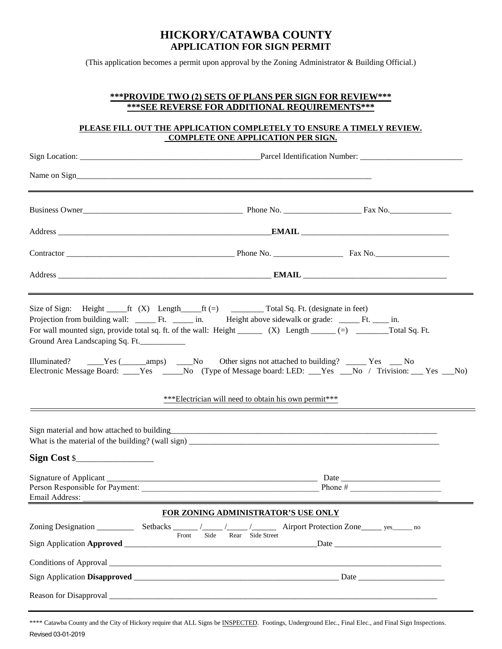## **HICKORY/CATAWBA COUNTY APPLICATION FOR SIGN PERMIT**

(This application becomes a permit upon approval by the Zoning Administrator & Building Official.)

### **\*\*\*PROVIDE TWO (2) SETS OF PLANS PER SIGN FOR REVIEW\*\*\* \*\*\*SEE REVERSE FOR ADDITIONAL REQUIREMENTS\*\*\***

#### **PLEASE FILL OUT THE APPLICATION COMPLETELY TO ENSURE A TIMELY REVIEW. COMPLETE ONE APPLICATION PER SIGN.**

| Business Owner <u>Containing Communications</u> Change Phone No. 2008 Phone No. 2008 Page 2014                                                                                                                                                                                                                                                                                                                                                                                                                                                                                                                                                                                                           |                                     |  |
|----------------------------------------------------------------------------------------------------------------------------------------------------------------------------------------------------------------------------------------------------------------------------------------------------------------------------------------------------------------------------------------------------------------------------------------------------------------------------------------------------------------------------------------------------------------------------------------------------------------------------------------------------------------------------------------------------------|-------------------------------------|--|
|                                                                                                                                                                                                                                                                                                                                                                                                                                                                                                                                                                                                                                                                                                          |                                     |  |
| Contractor Phone No. Phone No. Phone No. Pax No.                                                                                                                                                                                                                                                                                                                                                                                                                                                                                                                                                                                                                                                         |                                     |  |
|                                                                                                                                                                                                                                                                                                                                                                                                                                                                                                                                                                                                                                                                                                          |                                     |  |
| Size of Sign: Height $f(x)$ Length $f(-)$ $f(-)$ $f(-)$ $f(-)$ $f(-)$ $f(-)$ $f(-)$ $f(-)$ $f(-)$ $f(-)$ $f(-)$ $f(-)$ $f(-)$ $f(-)$ $f(-)$ $f(-)$ $f(-)$ $f(-)$ $f(-)$ $f(-)$ $f(-)$ $f(-)$ $f(-)$ $f(-)$ $f(-)$ $f(-)$ $f(-)$ $f(-)$ $f(-)$ $f(-)$ $f(-)$<br>For wall mounted sign, provide total sq. ft. of the wall: Height _________ (X) Length ______ (=) ________ Total Sq. Ft.<br>Ground Area Landscaping Sq. Ft.<br>Illuminated? _____Yes (______amps) ____No Other signs not attached to building? ______Yes ____No<br>Electronic Message Board: ____Yes _____No (Type of Message board: LED: ___Yes ___No / Trivision: ___ Yes ___No)<br>***Electrician will need to obtain his own permit*** |                                     |  |
| Sign material and how attached to building<br>entity and the contract of the contract of the contract of the contract of the contract of the contract of the contract of the contract of the contract of the contract of the con<br>$Sign Cost \$                                                                                                                                                                                                                                                                                                                                                                                                                                                        |                                     |  |
| Email Address:                                                                                                                                                                                                                                                                                                                                                                                                                                                                                                                                                                                                                                                                                           |                                     |  |
|                                                                                                                                                                                                                                                                                                                                                                                                                                                                                                                                                                                                                                                                                                          | FOR ZONING ADMINISTRATOR'S USE ONLY |  |
| Sign Application Approved _____________                                                                                                                                                                                                                                                                                                                                                                                                                                                                                                                                                                                                                                                                  | Side<br>Rear Side Street<br>Front   |  |
| Conditions of Approval                                                                                                                                                                                                                                                                                                                                                                                                                                                                                                                                                                                                                                                                                   |                                     |  |
|                                                                                                                                                                                                                                                                                                                                                                                                                                                                                                                                                                                                                                                                                                          |                                     |  |

\*\*\*\* Catawba County and the City of Hickory require that ALL Signs be INSPECTED. Footings, Underground Elec., Final Elec., and Final Sign Inspections. Revised 03-01-2019